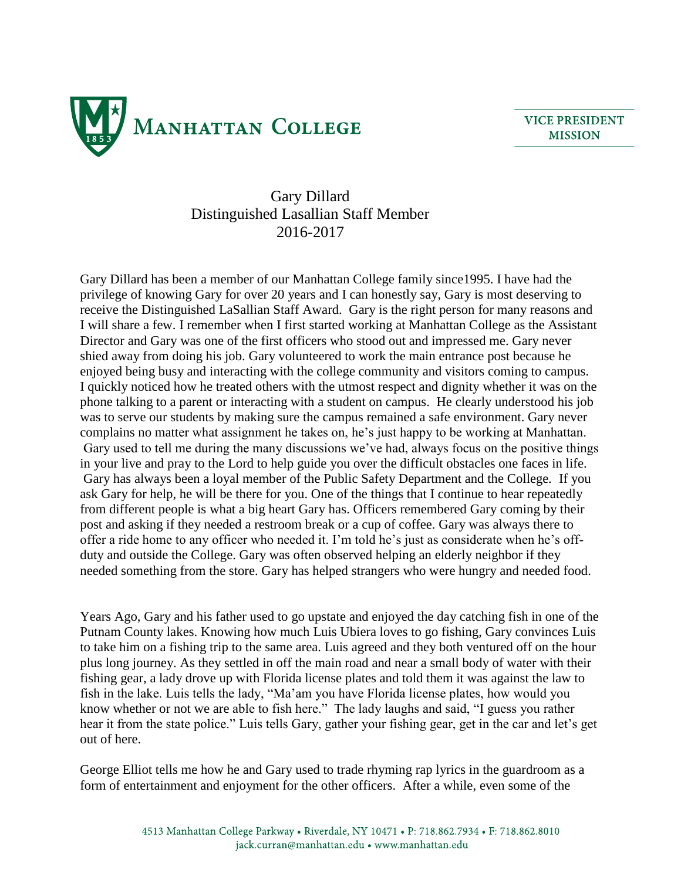

**VICE PRESIDENT MISSION** 

## Gary Dillard Distinguished Lasallian Staff Member 2016-2017

Gary Dillard has been a member of our Manhattan College family since1995. I have had the privilege of knowing Gary for over 20 years and I can honestly say, Gary is most deserving to receive the Distinguished LaSallian Staff Award. Gary is the right person for many reasons and I will share a few. I remember when I first started working at Manhattan College as the Assistant Director and Gary was one of the first officers who stood out and impressed me. Gary never shied away from doing his job. Gary volunteered to work the main entrance post because he enjoyed being busy and interacting with the college community and visitors coming to campus. I quickly noticed how he treated others with the utmost respect and dignity whether it was on the phone talking to a parent or interacting with a student on campus. He clearly understood his job was to serve our students by making sure the campus remained a safe environment. Gary never complains no matter what assignment he takes on, he's just happy to be working at Manhattan. Gary used to tell me during the many discussions we've had, always focus on the positive things in your live and pray to the Lord to help guide you over the difficult obstacles one faces in life. Gary has always been a loyal member of the Public Safety Department and the College. If you ask Gary for help, he will be there for you. One of the things that I continue to hear repeatedly from different people is what a big heart Gary has. Officers remembered Gary coming by their post and asking if they needed a restroom break or a cup of coffee. Gary was always there to offer a ride home to any officer who needed it. I'm told he's just as considerate when he's offduty and outside the College. Gary was often observed helping an elderly neighbor if they needed something from the store. Gary has helped strangers who were hungry and needed food.

Years Ago, Gary and his father used to go upstate and enjoyed the day catching fish in one of the Putnam County lakes. Knowing how much Luis Ubiera loves to go fishing, Gary convinces Luis to take him on a fishing trip to the same area. Luis agreed and they both ventured off on the hour plus long journey. As they settled in off the main road and near a small body of water with their fishing gear, a lady drove up with Florida license plates and told them it was against the law to fish in the lake. Luis tells the lady, "Ma'am you have Florida license plates, how would you know whether or not we are able to fish here." The lady laughs and said, "I guess you rather hear it from the state police." Luis tells Gary, gather your fishing gear, get in the car and let's get out of here.

George Elliot tells me how he and Gary used to trade rhyming rap lyrics in the guardroom as a form of entertainment and enjoyment for the other officers. After a while, even some of the